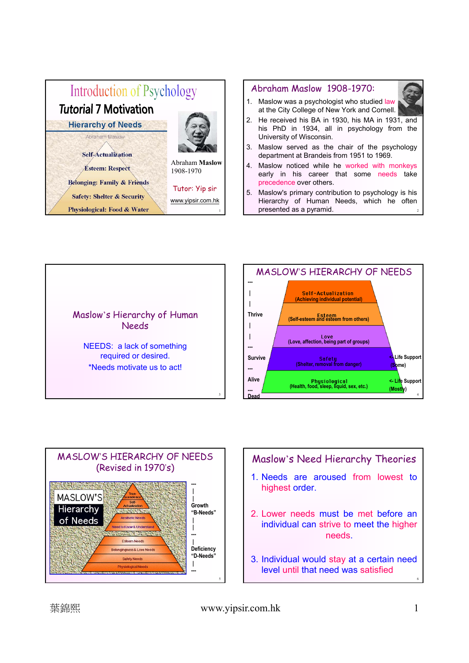





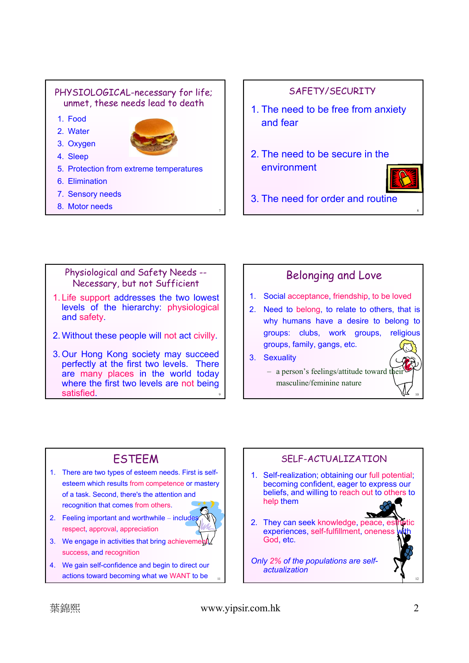#### PHYSIOLOGICAL-necessary for life; unmet, these needs lead to death

- 1. Food
- 2. Water



- 3. Oxygen 4. Sleep
- 5. Protection from extreme temperatures
- 6. Elimination
- 7. Sensory needs
- 8. Motor needs

### SAFETY/SECURITY

- 1. The need to be free from anxiety and fear
- 2. The need to be secure in the environment



3. The need for order and routine

#### Physiological and Safety Needs -- Necessary, but not Sufficient

- 1. Life support addresses the two lowest levels of the hierarchy: physiological and safety.
- 2. Without these people will not act civilly.
- 9 3. Our Hong Kong society may succeed perfectly at the first two levels. There are many places in the world today where the first two levels are not being  $\mathsf{s}$  satisfied. The contract of  $\mathsf{v}$  is a set of  $\mathsf{v}$  is a set of  $\mathsf{v}$  is a set of  $\mathsf{v}$

## Belonging and Love

- 1. Social acceptance, friendship, to be loved
- 2. Need to belong, to relate to others, that is why humans have a desire to belong to groups: clubs, work groups, religious groups, family, gangs, etc.
- 3. Sexuality

#### $-$  a person's feelings/attitude toward their masculine/feminine nature

## **ESTEEM**

- 1. There are two types of esteem needs. First is selfesteem which results from competence or mastery of a task. Second, there's the attention and recognition that comes from others.
- 2. Feeling important and worthwhile includes respect, approval, appreciation



7

- 3. We engage in activities that bring achievement success, and recognition
- 11 4. We gain self-confidence and begin to direct our actions toward becoming what we WANT to be

## SELF-ACTUALIZATION 1. Self-realization; obtaining our full potential; becoming confident, eager to express our beliefs, and willing to reach out to others to help them 2. They can seek knowledge, peace, established experiences, self-fulfillment, oneness God, etc. *Only 2% of the populations are selfactualization*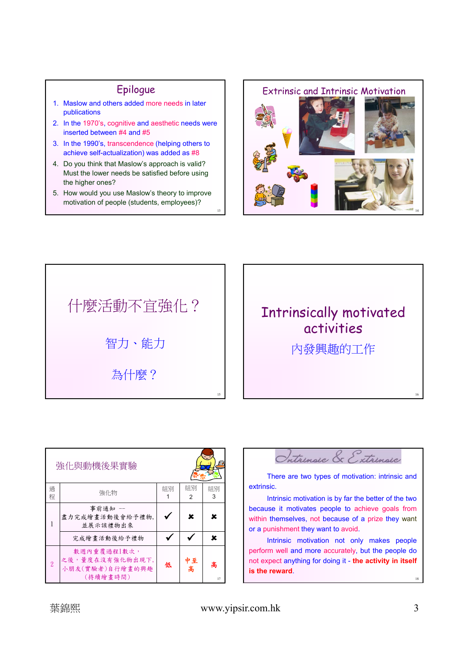### Epilogue

- 1. Maslow and others added more needs in later publications
- 2. In the 1970's, cognitive and aesthetic needs were inserted between #4 and #5
- 3. In the 1990's, transcendence (helping others to achieve self-actualization) was added as #8
- 4. Do you think that Maslow's approach is valid? Must the lower needs be satisfied before using the higher ones?
- 5. How would you use Maslow's theory to improve motivation of people (students, employees)?

13





# Intrinsically motivated activities

內發興趣的工作

| 強化與動機後果實驗     |                                                               |    |         |         |
|---------------|---------------------------------------------------------------|----|---------|---------|
| 過<br>稈        | 強化物                                                           | 組別 | 組別<br>2 | 組別<br>3 |
|               | 事前通知 --<br>盡力完成繪畫活動後會給予禮物,<br>並展示該禮物出來                        |    | x       | x       |
|               | 完成繪書活動後給予禮物                                                   |    |         | x       |
| $\mathcal{P}$ | 數週內重覆過程1數次,<br>之後,量度在沒有強化物出現下,<br>小朋友(實驗者)自行繪畫的興趣<br>(持續繪書時間) | 低  | 中至<br>高 | 高<br>17 |



There are two types of motivation: intrinsic and extrinsic.

Intrinsic motivation is by far the better of the two because it motivates people to achieve goals from within themselves, not because of a prize they want or a punishment they want to avoid.

Intrinsic motivation not only makes people perform well and more accurately, but the people do not expect anything for doing it - **the activity in itself is the reward**.

18

16